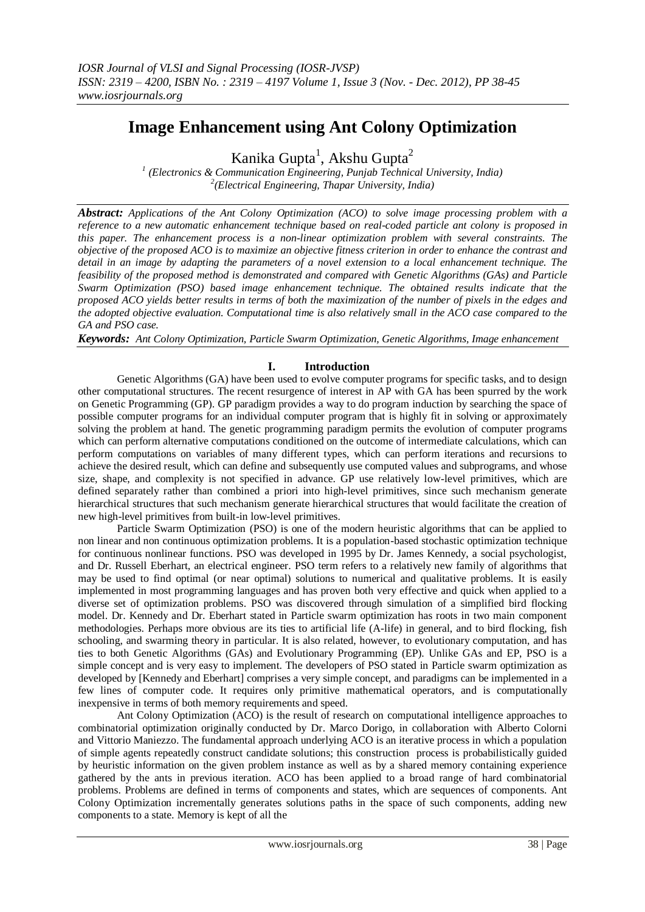# **Image Enhancement using Ant Colony Optimization**

Kanika Gupta<sup>1</sup>, Akshu Gupta<sup>2</sup>

*1 (Electronics & Communication Engineering, Punjab Technical University, India) 2 (Electrical Engineering, Thapar University, India)*

*Abstract: Applications of the Ant Colony Optimization (ACO) to solve image processing problem with a reference to a new automatic enhancement technique based on real-coded particle ant colony is proposed in this paper. The enhancement process is a non-linear optimization problem with several constraints. The objective of the proposed ACO is to maximize an objective fitness criterion in order to enhance the contrast and detail in an image by adapting the parameters of a novel extension to a local enhancement technique. The feasibility of the proposed method is demonstrated and compared with Genetic Algorithms (GAs) and Particle Swarm Optimization (PSO) based image enhancement technique. The obtained results indicate that the proposed ACO yields better results in terms of both the maximization of the number of pixels in the edges and the adopted objective evaluation. Computational time is also relatively small in the ACO case compared to the GA and PSO case.*

*Keywords: Ant Colony Optimization, Particle Swarm Optimization, Genetic Algorithms, Image enhancement*

# **I. Introduction**

 Genetic Algorithms (GA) have been used to evolve computer programs for specific tasks, and to design other computational structures. The recent resurgence of interest in AP with GA has been spurred by the work on Genetic Programming (GP). GP paradigm provides a way to do program induction by searching the space of possible computer programs for an individual computer program that is highly fit in solving or approximately solving the problem at hand. The genetic programming paradigm permits the evolution of computer programs which can perform alternative computations conditioned on the outcome of intermediate calculations, which can perform computations on variables of many different types, which can perform iterations and recursions to achieve the desired result, which can define and subsequently use computed values and subprograms, and whose size, shape, and complexity is not specified in advance. GP use relatively low-level primitives, which are defined separately rather than combined a priori into high-level primitives, since such mechanism generate hierarchical structures that such mechanism generate hierarchical structures that would facilitate the creation of new high-level primitives from built-in low-level primitives.

 Particle Swarm Optimization (PSO) is one of the modern heuristic algorithms that can be applied to non linear and non continuous optimization problems. It is a population-based stochastic optimization technique for continuous nonlinear functions. PSO was developed in 1995 by Dr. James Kennedy, a social psychologist, and Dr. Russell Eberhart, an electrical engineer. PSO term refers to a relatively new family of algorithms that may be used to find optimal (or near optimal) solutions to numerical and qualitative problems. It is easily implemented in most programming languages and has proven both very effective and quick when applied to a diverse set of optimization problems. PSO was discovered through simulation of a simplified bird flocking model. Dr. Kennedy and Dr. Eberhart stated in Particle swarm optimization has roots in two main component methodologies. Perhaps more obvious are its ties to artificial life (A-life) in general, and to bird flocking, fish schooling, and swarming theory in particular. It is also related, however, to evolutionary computation, and has ties to both Genetic Algorithms (GAs) and Evolutionary Programming (EP). Unlike GAs and EP, PSO is a simple concept and is very easy to implement. The developers of PSO stated in Particle swarm optimization as developed by [Kennedy and Eberhart] comprises a very simple concept, and paradigms can be implemented in a few lines of computer code. It requires only primitive mathematical operators, and is computationally inexpensive in terms of both memory requirements and speed.

 Ant Colony Optimization (ACO) is the result of research on computational intelligence approaches to combinatorial optimization originally conducted by Dr. Marco Dorigo, in collaboration with Alberto Colorni and Vittorio Maniezzo. The fundamental approach underlying ACO is an iterative process in which a population of simple agents repeatedly construct candidate solutions; this construction process is probabilistically guided by heuristic information on the given problem instance as well as by a shared memory containing experience gathered by the ants in previous iteration. ACO has been applied to a broad range of hard combinatorial problems. Problems are defined in terms of components and states, which are sequences of components. Ant Colony Optimization incrementally generates solutions paths in the space of such components, adding new components to a state. Memory is kept of all the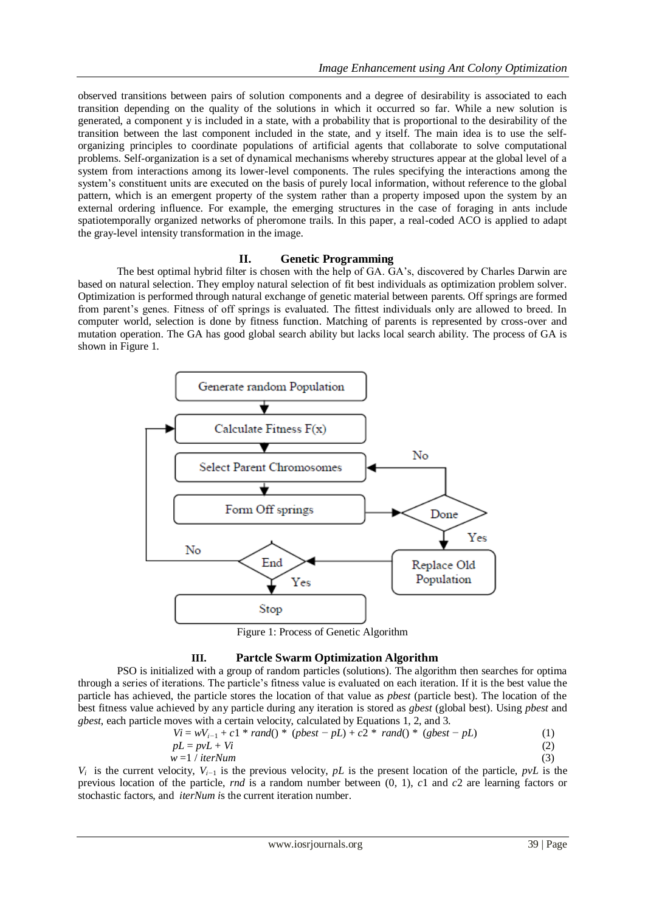observed transitions between pairs of solution components and a degree of desirability is associated to each transition depending on the quality of the solutions in which it occurred so far. While a new solution is generated, a component y is included in a state, with a probability that is proportional to the desirability of the transition between the last component included in the state, and y itself. The main idea is to use the selforganizing principles to coordinate populations of artificial agents that collaborate to solve computational problems. Self-organization is a set of dynamical mechanisms whereby structures appear at the global level of a system from interactions among its lower-level components. The rules specifying the interactions among the system's constituent units are executed on the basis of purely local information, without reference to the global pattern, which is an emergent property of the system rather than a property imposed upon the system by an external ordering influence. For example, the emerging structures in the case of foraging in ants include spatiotemporally organized networks of pheromone trails. In this paper, a real-coded ACO is applied to adapt the gray-level intensity transformation in the image.

# **II. Genetic Programming**

The best optimal hybrid filter is chosen with the help of GA. GA"s, discovered by Charles Darwin are based on natural selection. They employ natural selection of fit best individuals as optimization problem solver. Optimization is performed through natural exchange of genetic material between parents. Off springs are formed from parent's genes. Fitness of off springs is evaluated. The fittest individuals only are allowed to breed. In computer world, selection is done by fitness function. Matching of parents is represented by cross-over and mutation operation. The GA has good global search ability but lacks local search ability. The process of GA is shown in Figure 1.



Figure 1: Process of Genetic Algorithm

# **III. Partcle Swarm Optimization Algorithm**

PSO is initialized with a group of random particles (solutions). The algorithm then searches for optima through a series of iterations. The particle"s fitness value is evaluated on each iteration. If it is the best value the particle has achieved, the particle stores the location of that value as *pbest* (particle best). The location of the best fitness value achieved by any particle during any iteration is stored as *gbest* (global best). Using *pbest* and *gbest*, each particle moves with a certain velocity, calculated by Equations 1, 2, and 3.

$$
Vi = wV_{i-1} + c1 * rand() * (pbest - pL) + c2 * rand() * (gbest - pL)
$$
 (1)

$$
pL = pvL + Vi
$$
  
\n
$$
w = 1 / iterNum
$$
\n(2)

*V<sub>i</sub>* is the current velocity,  $V_{i-1}$  is the previous velocity, *pL* is the present location of the particle, *pvL* is the previous location of the particle, *rnd* is a random number between (0*,* 1), *c*1 and *c*2 are learning factors or stochastic factors, and *iterNum i*s the current iteration number.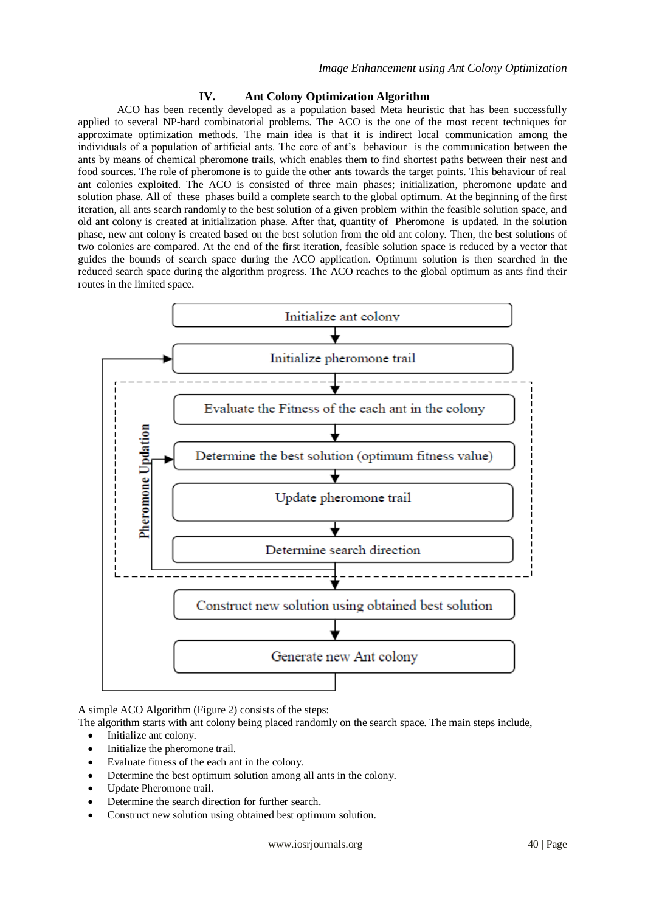# **IV. Ant Colony Optimization Algorithm**

 ACO has been recently developed as a population based Meta heuristic that has been successfully applied to several NP-hard combinatorial problems. The ACO is the one of the most recent techniques for approximate optimization methods. The main idea is that it is indirect local communication among the individuals of a population of artificial ants. The core of ant's behaviour is the communication between the ants by means of chemical pheromone trails, which enables them to find shortest paths between their nest and food sources. The role of pheromone is to guide the other ants towards the target points. This behaviour of real ant colonies exploited. The ACO is consisted of three main phases; initialization, pheromone update and solution phase. All of these phases build a complete search to the global optimum. At the beginning of the first iteration, all ants search randomly to the best solution of a given problem within the feasible solution space, and old ant colony is created at initialization phase. After that, quantity of Pheromone is updated. In the solution phase, new ant colony is created based on the best solution from the old ant colony. Then, the best solutions of two colonies are compared. At the end of the first iteration, feasible solution space is reduced by a vector that guides the bounds of search space during the ACO application. Optimum solution is then searched in the reduced search space during the algorithm progress. The ACO reaches to the global optimum as ants find their routes in the limited space.



A simple ACO Algorithm (Figure 2) consists of the steps:

The algorithm starts with ant colony being placed randomly on the search space. The main steps include,

- Initialize ant colony.
- Initialize the pheromone trail.
- Evaluate fitness of the each ant in the colony.
- Determine the best optimum solution among all ants in the colony.
- Update Pheromone trail.
- Determine the search direction for further search.
- Construct new solution using obtained best optimum solution.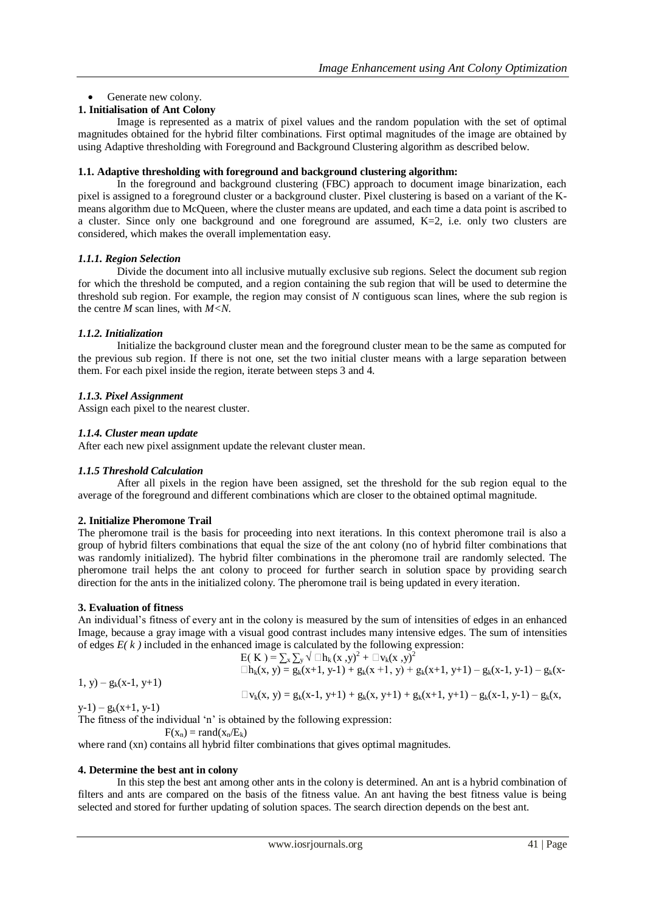# • Generate new colony.

# **1. Initialisation of Ant Colony**

Image is represented as a matrix of pixel values and the random population with the set of optimal magnitudes obtained for the hybrid filter combinations. First optimal magnitudes of the image are obtained by using Adaptive thresholding with Foreground and Background Clustering algorithm as described below.

### **1.1. Adaptive thresholding with foreground and background clustering algorithm:**

In the foreground and background clustering (FBC) approach to document image binarization, each pixel is assigned to a foreground cluster or a background cluster. Pixel clustering is based on a variant of the Kmeans algorithm due to McQueen, where the cluster means are updated, and each time a data point is ascribed to a cluster. Since only one background and one foreground are assumed,  $K=2$ , i.e. only two clusters are considered, which makes the overall implementation easy.

### *1.1.1. Region Selection*

Divide the document into all inclusive mutually exclusive sub regions. Select the document sub region for which the threshold be computed, and a region containing the sub region that will be used to determine the threshold sub region. For example, the region may consist of *N* contiguous scan lines, where the sub region is the centre *M* scan lines, with *M<N*.

### *1.1.2. Initialization*

Initialize the background cluster mean and the foreground cluster mean to be the same as computed for the previous sub region. If there is not one, set the two initial cluster means with a large separation between them. For each pixel inside the region, iterate between steps 3 and 4.

# *1.1.3. Pixel Assignment*

Assign each pixel to the nearest cluster.

### *1.1.4. Cluster mean update*

After each new pixel assignment update the relevant cluster mean.

# *1.1.5 Threshold Calculation*

After all pixels in the region have been assigned, set the threshold for the sub region equal to the average of the foreground and different combinations which are closer to the obtained optimal magnitude.

# **2. Initialize Pheromone Trail**

The pheromone trail is the basis for proceeding into next iterations. In this context pheromone trail is also a group of hybrid filters combinations that equal the size of the ant colony (no of hybrid filter combinations that was randomly initialized). The hybrid filter combinations in the pheromone trail are randomly selected. The pheromone trail helps the ant colony to proceed for further search in solution space by providing search direction for the ants in the initialized colony. The pheromone trail is being updated in every iteration.

#### **3. Evaluation of fitness**

An individual"s fitness of every ant in the colony is measured by the sum of intensities of edges in an enhanced Image, because a gray image with a visual good contrast includes many intensive edges. The sum of intensities of edges  $E(k)$  included in the enhanced image is calculated by the following expression:

$$
E(K) = \sum_{x} \sum_{y} \sqrt{\Box h_k(x, y)^2 + \Box v_k(x, y)^2}
$$
  

$$
\Box h_k(x, y) = g_k(x+1, y+1) + g_k(x+1, y) + g_k(x+1, y+1) - g_k(x-1, y-1) - g_k(x-1, y-1)
$$

$$
1, y) - g_k(x-1, y+1)
$$

$$
\Box v_k(x, y) = g_k(x-1, y+1) + g_k(x, y+1) + g_k(x+1, y+1) - g_k(x-1, y-1) - g_k(x,
$$

 $y-1$ ) –  $g_k(x+1, y-1)$ 

The fitness of the individual 'n' is obtained by the following expression:

 $F(x_n) = \text{rand}(x_n/E_k)$ 

where rand (xn) contains all hybrid filter combinations that gives optimal magnitudes.

#### **4. Determine the best ant in colony**

In this step the best ant among other ants in the colony is determined. An ant is a hybrid combination of filters and ants are compared on the basis of the fitness value. An ant having the best fitness value is being selected and stored for further updating of solution spaces. The search direction depends on the best ant.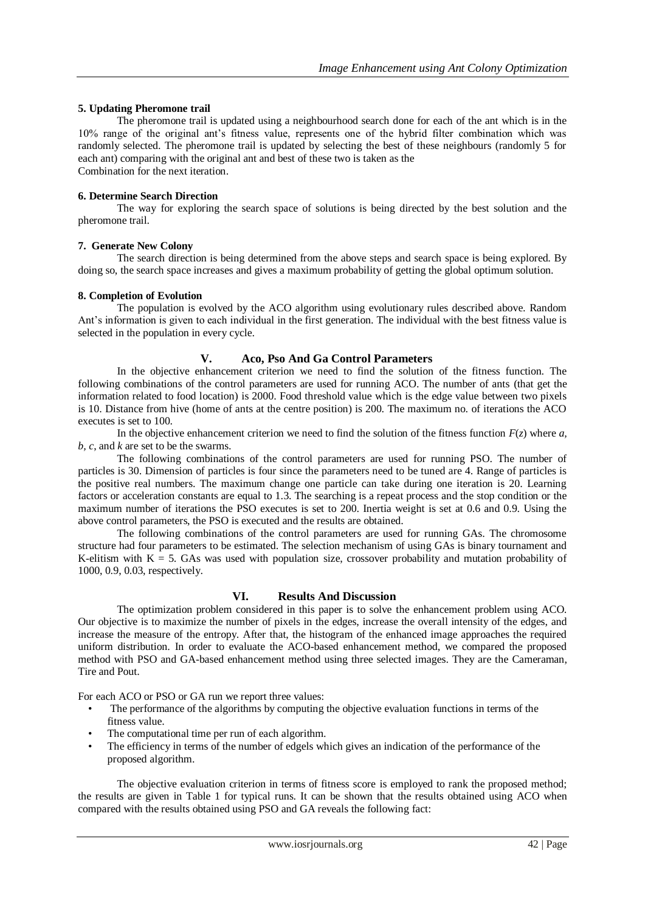### **5. Updating Pheromone trail**

The pheromone trail is updated using a neighbourhood search done for each of the ant which is in the 10% range of the original ant"s fitness value, represents one of the hybrid filter combination which was randomly selected. The pheromone trail is updated by selecting the best of these neighbours (randomly 5 for each ant) comparing with the original ant and best of these two is taken as the Combination for the next iteration.

### **6. Determine Search Direction**

The way for exploring the search space of solutions is being directed by the best solution and the pheromone trail.

### **7. Generate New Colony**

The search direction is being determined from the above steps and search space is being explored. By doing so, the search space increases and gives a maximum probability of getting the global optimum solution.

### **8. Completion of Evolution**

The population is evolved by the ACO algorithm using evolutionary rules described above. Random Ant"s information is given to each individual in the first generation. The individual with the best fitness value is selected in the population in every cycle.

### **V. Aco, Pso And Ga Control Parameters**

In the objective enhancement criterion we need to find the solution of the fitness function. The following combinations of the control parameters are used for running ACO. The number of ants (that get the information related to food location) is 2000. Food threshold value which is the edge value between two pixels is 10. Distance from hive (home of ants at the centre position) is 200. The maximum no. of iterations the ACO executes is set to 100.

In the objective enhancement criterion we need to find the solution of the fitness function  $F(z)$  where  $a$ , *b, c*, and *k* are set to be the swarms.

 The following combinations of the control parameters are used for running PSO. The number of particles is 30. Dimension of particles is four since the parameters need to be tuned are 4. Range of particles is the positive real numbers. The maximum change one particle can take during one iteration is 20. Learning factors or acceleration constants are equal to 1.3. The searching is a repeat process and the stop condition or the maximum number of iterations the PSO executes is set to 200. Inertia weight is set at 0.6 and 0.9. Using the above control parameters, the PSO is executed and the results are obtained.

 The following combinations of the control parameters are used for running GAs. The chromosome structure had four parameters to be estimated. The selection mechanism of using GAs is binary tournament and K-elitism with  $K = 5$ . GAs was used with population size, crossover probability and mutation probability of 1000, 0.9, 0.03, respectively.

# **VI. Results And Discussion**

 The optimization problem considered in this paper is to solve the enhancement problem using ACO. Our objective is to maximize the number of pixels in the edges, increase the overall intensity of the edges, and increase the measure of the entropy. After that, the histogram of the enhanced image approaches the required uniform distribution. In order to evaluate the ACO-based enhancement method, we compared the proposed method with PSO and GA-based enhancement method using three selected images. They are the Cameraman, Tire and Pout.

For each ACO or PSO or GA run we report three values:

- The performance of the algorithms by computing the objective evaluation functions in terms of the fitness value.
- The computational time per run of each algorithm.
- The efficiency in terms of the number of edgels which gives an indication of the performance of the proposed algorithm.

 The objective evaluation criterion in terms of fitness score is employed to rank the proposed method; the results are given in Table 1 for typical runs. It can be shown that the results obtained using ACO when compared with the results obtained using PSO and GA reveals the following fact: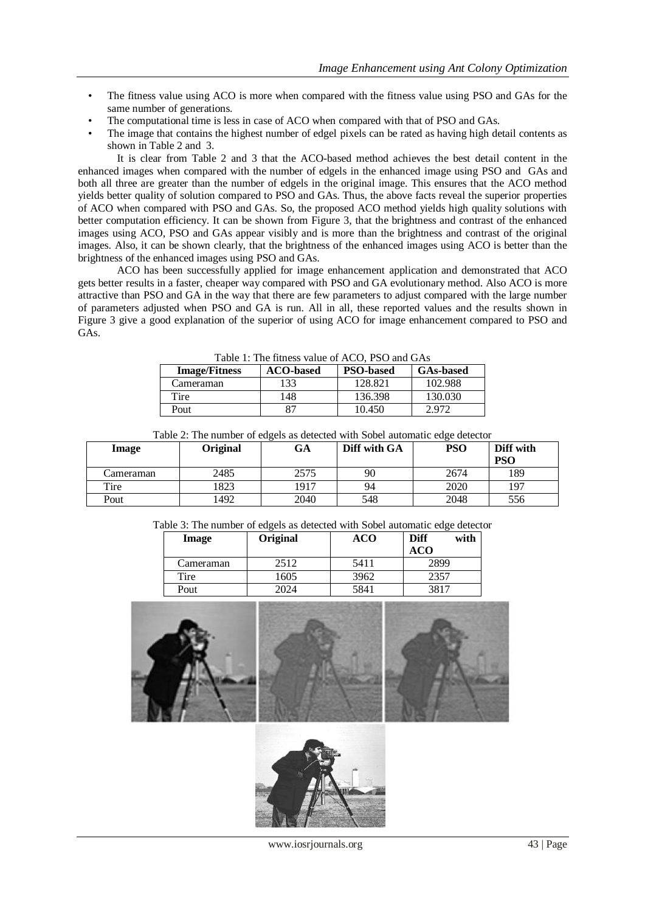- The fitness value using ACO is more when compared with the fitness value using PSO and GAs for the same number of generations.
- The computational time is less in case of ACO when compared with that of PSO and GAs.
- The image that contains the highest number of edgel pixels can be rated as having high detail contents as shown in Table 2 and 3.

 It is clear from Table 2 and 3 that the ACO-based method achieves the best detail content in the enhanced images when compared with the number of edgels in the enhanced image using PSO and GAs and both all three are greater than the number of edgels in the original image. This ensures that the ACO method yields better quality of solution compared to PSO and GAs. Thus, the above facts reveal the superior properties of ACO when compared with PSO and GAs. So, the proposed ACO method yields high quality solutions with better computation efficiency. It can be shown from Figure 3, that the brightness and contrast of the enhanced images using ACO, PSO and GAs appear visibly and is more than the brightness and contrast of the original images. Also, it can be shown clearly, that the brightness of the enhanced images using ACO is better than the brightness of the enhanced images using PSO and GAs.

 ACO has been successfully applied for image enhancement application and demonstrated that ACO gets better results in a faster, cheaper way compared with PSO and GA evolutionary method. Also ACO is more attractive than PSO and GA in the way that there are few parameters to adjust compared with the large number of parameters adjusted when PSO and GA is run. All in all, these reported values and the results shown in Figure 3 give a good explanation of the superior of using ACO for image enhancement compared to PSO and GAs.

| Table 1. The https://watachi.roof.150 and 0.15 |                  |                  |                  |  |  |  |
|------------------------------------------------|------------------|------------------|------------------|--|--|--|
| <b>Image/Fitness</b>                           | <b>ACO-based</b> | <b>PSO-based</b> | <b>GAs-based</b> |  |  |  |
| Cameraman                                      | 133              | 128.821          | 102.988          |  |  |  |
| Tire                                           | 148              | 136.398          | 130.030          |  |  |  |
| Pout                                           |                  | 10.450           | 2.972            |  |  |  |

| Image     | Original | GA   | Diff with GA | <b>PSO</b> | Diff with<br><b>PSO</b> |
|-----------|----------|------|--------------|------------|-------------------------|
| Cameraman | 2485     | 2575 | 90           | 2674       | 189                     |
| Tire      | 1823     | 1917 | 94           | 2020       | 197                     |
| Pout      | 1492     | 2040 | 548          | 2048       | 556                     |

Table 2: The number of edgels as detected with Sobel automatic edge detector

Table 3: The number of edgels as detected with Sobel automatic edge detector

| Image     | Original | ACO  | Diff<br>with |
|-----------|----------|------|--------------|
|           |          |      | ACO          |
| Cameraman | 2512     | 5411 | 2899         |
| Tire      | 1605     | 3962 | 2357         |
| Pout      | 2024     | 5841 | 3817         |



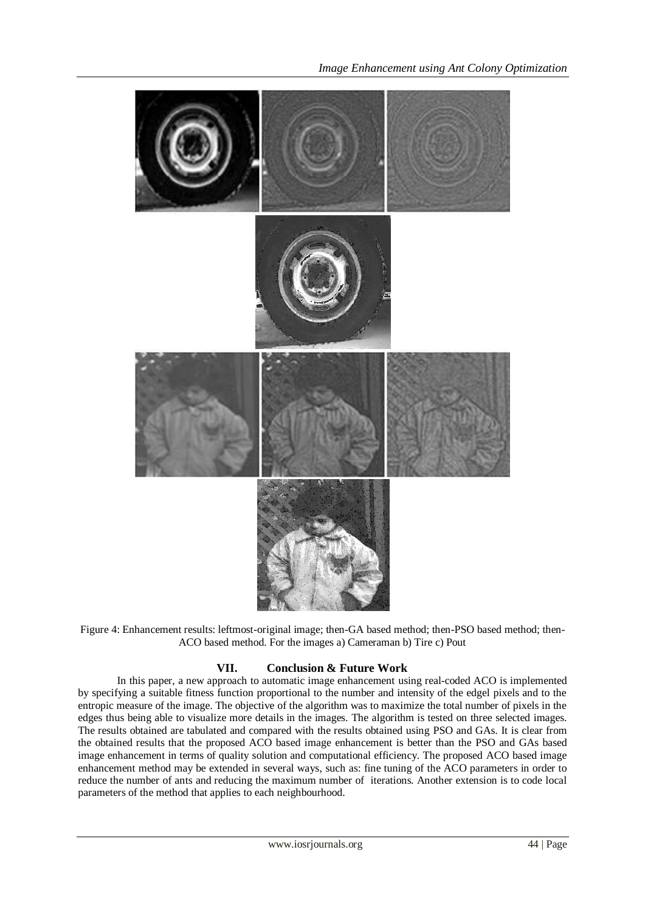

Figure 4: Enhancement results: leftmost-original image; then-GA based method; then-PSO based method; then-ACO based method. For the images a) Cameraman b) Tire c) Pout

# **VII. Conclusion & Future Work**

 In this paper, a new approach to automatic image enhancement using real-coded ACO is implemented by specifying a suitable fitness function proportional to the number and intensity of the edgel pixels and to the entropic measure of the image. The objective of the algorithm was to maximize the total number of pixels in the edges thus being able to visualize more details in the images. The algorithm is tested on three selected images. The results obtained are tabulated and compared with the results obtained using PSO and GAs. It is clear from the obtained results that the proposed ACO based image enhancement is better than the PSO and GAs based image enhancement in terms of quality solution and computational efficiency. The proposed ACO based image enhancement method may be extended in several ways, such as: fine tuning of the ACO parameters in order to reduce the number of ants and reducing the maximum number of iterations. Another extension is to code local parameters of the method that applies to each neighbourhood.